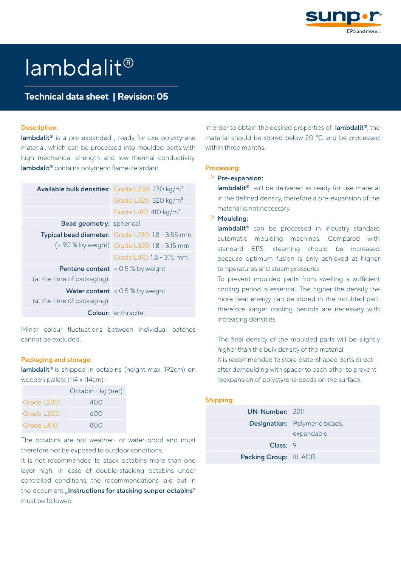

# lambdalit®

## Technical data sheet | Revision: 05

#### Description:

lambdalit<sup>®</sup> is a pre-expanded, ready for use polystyrene material, which can be processed into moulded parts with high mechanical strength and low thermal conductivity. lambdalit® contains polymeric flame-retardant.

| Available bulk densities: Grade L230: 230 kg/m <sup>3</sup> |                                                  |
|-------------------------------------------------------------|--------------------------------------------------|
|                                                             | Grade L320: 320 kg/m <sup>3</sup>                |
|                                                             | Grade L410: 410 kg/m <sup>3</sup>                |
| <b>Bead geometry:</b> spherical                             |                                                  |
|                                                             | Typical bead diameter: Grade L230: 1.8 - 3.55 mm |
|                                                             | (> 90 % by weight) Grade L320: 1.8 - 3.15 mm     |
|                                                             | Grade   410:18 - 315 mm                          |
|                                                             | <b>Pentane content</b> $> 0.5$ % by weight       |
| (at the time of packaging):                                 |                                                  |
|                                                             | <b>Water content</b> < $0.5$ % by weight         |
| (at the time of packaging):                                 |                                                  |
|                                                             | <b>Colour:</b> anthracite                        |
|                                                             |                                                  |

Minor colour fluctuations between individual batches cannot be excluded.

#### Packaging and storage:

lambdalit® is shipped in octabins (height max. 192cm) on wooden pallets (114 x 114cm) :

|                         | Octabin - kg (net) |
|-------------------------|--------------------|
| Grade $1230^\circ$      | 400                |
| Grade $1320^{\circ}$    | 600                |
| Grade $\pm 410^{\circ}$ | 800                |

The octabins are not weather- or water-proof and must therefore not be exposed to outdoor conditions.

It is not recommended to stack octabins more than one layer high. In case of double-stacking octabins under controlled conditions, the recommendations laid out in the document .. Instructions for stacking sunpor octabins" must be followed.

In order to obtain the desired properties of lambdalit®, the material should be stored below 20 °C and be processed within three months.

#### Processing:

#### > Pre-expansion:

lambdalit® will be delivered as ready for use material in the defined density, therefore a pre-expansion of the material is not necessary.

> Moulding:

lambdalit® can be processed in industry standard automatic moulding machines. Compared with standard EPS, steaming should be increased because optimum fusion is only achieved at higher temperatures and steam pressures.

To prevent moulded parts from swelling a sufficient cooling period is essential. The higher the density the more heat energy can be stored in the moulded part, therefore longer cooling periods are necessary with increasing densities.

The final density of the moulded parts will be slightly higher than the bulk density of the material. It is recommended to store plate-shaped parts direct after demoulding with spacer to each other to prevent reexpansion of polystyrene beads on the surface.

#### Shipping:

| UN-Number: 2211               |                                                    |
|-------------------------------|----------------------------------------------------|
|                               | <b>Designation:</b> Polymeric beads,<br>expandable |
| Class: 9                      |                                                    |
| <b>Packing Group:</b> III ADR |                                                    |